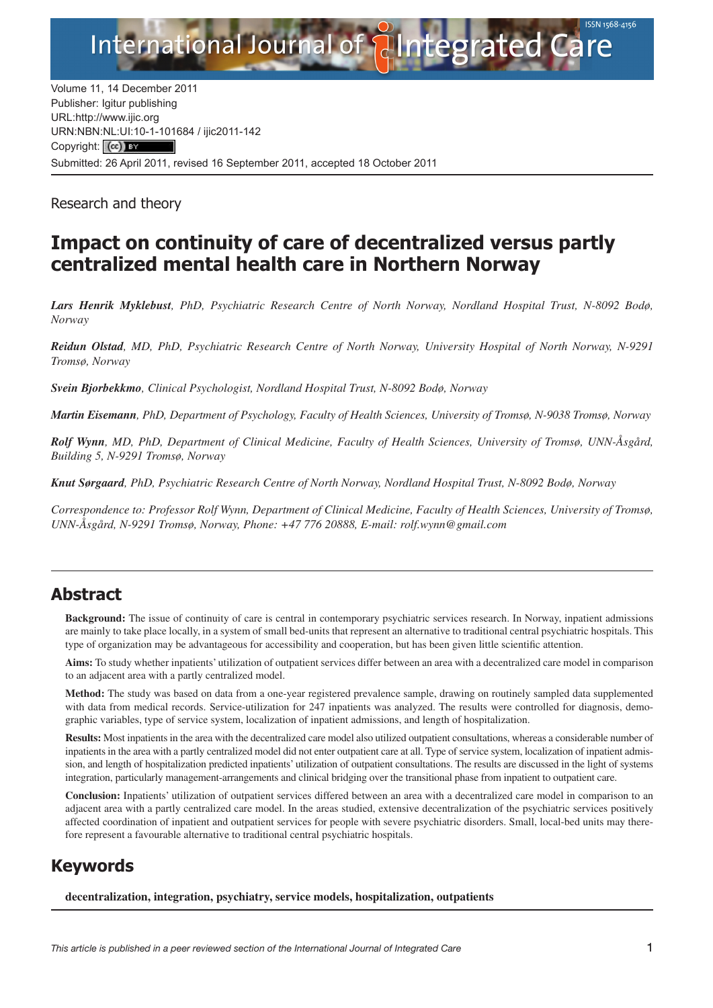

Volume 11, 14 December 2011 Publisher: Igitur publishing URL[:http://www.ijic.org](http://www.ijic.org) URN:NBN[:NL:UI:10-1-1016](http://creativecommons.org/licenses/by/3.0/)84 / ijic2011-142 Copyright: (cc) BY Submitted: 26 April 2011, revised 16 September 2011, accepted 18 October 2011

Research and theory

# **Impact on continuity of care of decentralized versus partly centralized mental health care in Northern Norway**

*Lars Henrik Myklebust, PhD, Psychiatric Research Centre of North Norway, Nordland Hospital Trust, N-8092 Bodø, Norway*

*Reidun Olstad, MD, PhD, Psychiatric Research Centre of North Norway, University Hospital of North Norway, N-9291 Tromsø, Norway*

*Svein Bjorbekkmo, Clinical Psychologist, Nordland Hospital Trust, N-8092 Bodø, Norway*

*Martin Eisemann, PhD, Department of Psychology, Faculty of Health Sciences, University of Tromsø, N-9038 Tromsø, Norway*

*Rolf Wynn, MD, PhD, Department of Clinical Medicine, Faculty of Health Sciences, University of Tromsø, UNN-Åsgård, Building 5, N-9291 Tromsø, Norway*

*Knut Sørgaard, PhD, Psychiatric Research Centre of North Norway, Nordland Hospital Trust, N-8092 Bodø, Norway*

*Correspondence to: Professor Rolf Wynn, Department of Clinical Medicine, Faculty of Health Sciences, University of Tromsø, UNN-Åsgård, N-9291 Tromsø, Norway, Phone: +47 776 20888, E-mail: [rolf.wynn@gmail.com](mailto:rolf.wynn@gmail.com)*

# **Abstract**

**Background:** The issue of continuity of care is central in contemporary psychiatric services research. In Norway, inpatient admissions are mainly to take place locally, in a system of small bed-units that represent an alternative to traditional central psychiatric hospitals. This type of organization may be advantageous for accessibility and cooperation, but has been given little scientific attention.

**Aims:** To study whether inpatients' utilization of outpatient services differ between an area with a decentralized care model in comparison to an adjacent area with a partly centralized model.

**Method:** The study was based on data from a one-year registered prevalence sample, drawing on routinely sampled data supplemented with data from medical records. Service-utilization for 247 inpatients was analyzed. The results were controlled for diagnosis, demographic variables, type of service system, localization of inpatient admissions, and length of hospitalization.

**Results:** Most inpatients in the area with the decentralized care model also utilized outpatient consultations, whereas a considerable number of inpatients in the area with a partly centralized model did not enter outpatient care at all. Type of service system, localization of inpatient admission, and length of hospitalization predicted inpatients' utilization of outpatient consultations. The results are discussed in the light of systems integration, particularly management-arrangements and clinical bridging over the transitional phase from inpatient to outpatient care.

**Conclusion:** Inpatients' utilization of outpatient services differed between an area with a decentralized care model in comparison to an adjacent area with a partly centralized care model. In the areas studied, extensive decentralization of the psychiatric services positively affected coordination of inpatient and outpatient services for people with severe psychiatric disorders. Small, local-bed units may therefore represent a favourable alternative to traditional central psychiatric hospitals.

# **Keywords**

**decentralization, integration, psychiatry, service models, hospitalization, outpatients**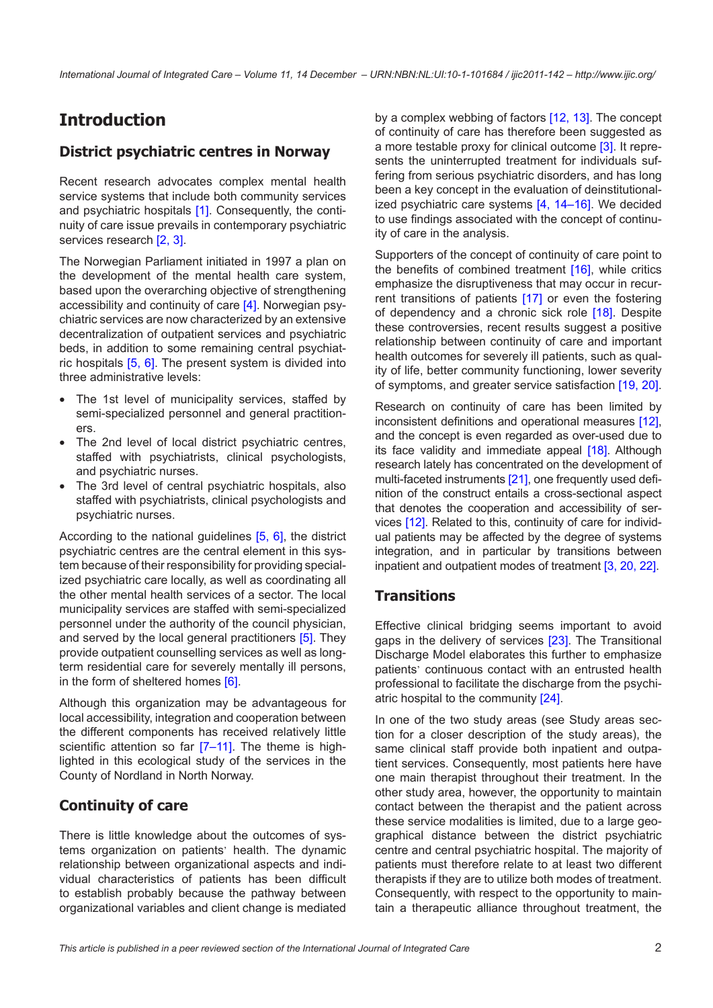# **Introduction**

### **District psychiatric centres in Norway**

Recent research advocates complex mental health service systems that include both community services and psychiatric hospitals [\[1\]](#page-6-0). Consequently, the continuity of care issue prevails in contemporary psychiatric services research [\[2,](#page-6-0) [3\].](#page-6-0)

The Norwegian Parliament initiated in 1997 a plan on the development of the mental health care system, based upon the overarching objective of strengthening accessibility and continuity of care [\[4\]](#page-7-0). Norwegian psychiatric services are now characterized by an extensive decentralization of outpatient services and psychiatric beds, in addition to some remaining central psychiatric hospitals  $[5, 6]$  $[5, 6]$  $[5, 6]$ . The present system is divided into three administrative levels:

- The 1st level of municipality services, staffed by semi-specialized personnel and general practitioners.
- The 2nd level of local district psychiatric centres, staffed with psychiatrists, clinical psychologists, and psychiatric nurses.
- The 3rd level of central psychiatric hospitals, also staffed with psychiatrists, clinical psychologists and psychiatric nurses.

According to the national guidelines [\[5,](#page-7-0) [6\],](#page-7-0) the district psychiatric centres are the central element in this system because of their responsibility for providing specialized psychiatric care locally, as well as coordinating all the other mental health services of a sector. The local municipality services are staffed with semi-specialized personnel under the authority of the council physician, and served by the local general practitioners [\[5\]](#page-7-0). They provide outpatient counselling services as well as longterm residential care for severely mentally ill persons, in the form of sheltered homes [\[6\].](#page-7-0)

Although this organization may be advantageous for local accessibility, integration and cooperation between the different components has received relatively little scientific attention so far [7-11]. The theme is highlighted in this ecological study of the services in the County of Nordland in North Norway.

## **Continuity of care**

There is little knowledge about the outcomes of systems organization on patients' health. The dynamic relationship between organizational aspects and individual characteristics of patients has been difficult to establish probably because the pathway between organizational variables and client change is mediated by a complex webbing of factors [\[12,](#page-7-0) [13\]](#page-7-0). The concept of continuity of care has therefore been suggested as a more testable proxy for clinical outcome [\[3\]](#page-6-0). It represents the uninterrupted treatment for individuals suffering from serious psychiatric disorders, and has long been a key concept in the evaluation of deinstitutionalized psychiatric care systems [\[4,](#page-7-0) [14–16\]](#page-7-0). We decided to use findings associated with the concept of continuity of care in the analysis.

Supporters of the concept of continuity of care point to the benefits of combined treatment [\[16\]](#page-7-0), while critics emphasize the disruptiveness that may occur in recurrent transitions of patients [\[17\]](#page-7-0) or even the fostering of dependency and a chronic sick role [\[18\].](#page-7-0) Despite these controversies, recent results suggest a positive relationship between continuity of care and important health outcomes for severely ill patients, such as quality of life, better community functioning, lower severity of symptoms, and greater service satisfaction [\[19,](#page-7-0) [20\].](#page-7-0)

Research on continuity of care has been limited by inconsistent definitions and operational measures [\[12\],](#page-7-0) and the concept is even regarded as over-used due to its face validity and immediate appeal [\[18\]](#page-7-0). Although research lately has concentrated on the development of multi-faceted instruments [\[21\]](#page-7-0), one frequently used definition of the construct entails a cross-sectional aspect that denotes the cooperation and accessibility of services [\[12\].](#page-7-0) Related to this, continuity of care for individual patients may be affected by the degree of systems integration, and in particular by transitions between inpatient and outpatient modes of treatment [\[3,](#page-6-0) [20,](#page-7-0) [22\].](#page-7-0)

#### **Transitions**

Effective clinical bridging seems important to avoid gaps in the delivery of services [\[23\].](#page-7-0) The Transitional Discharge Model elaborates this further to emphasize patients' continuous contact with an entrusted health professional to facilitate the discharge from the psychiatric hospital to the community [\[24\].](#page-7-0)

In one of the two study areas (see Study areas section for a closer description of the study areas), the same clinical staff provide both inpatient and outpatient services. Consequently, most patients here have one main therapist throughout their treatment. In the other study area, however, the opportunity to maintain contact between the therapist and the patient across these service modalities is limited, due to a large geographical distance between the district psychiatric centre and central psychiatric hospital. The majority of patients must therefore relate to at least two different therapists if they are to utilize both modes of treatment. Consequently, with respect to the opportunity to maintain a therapeutic alliance throughout treatment, the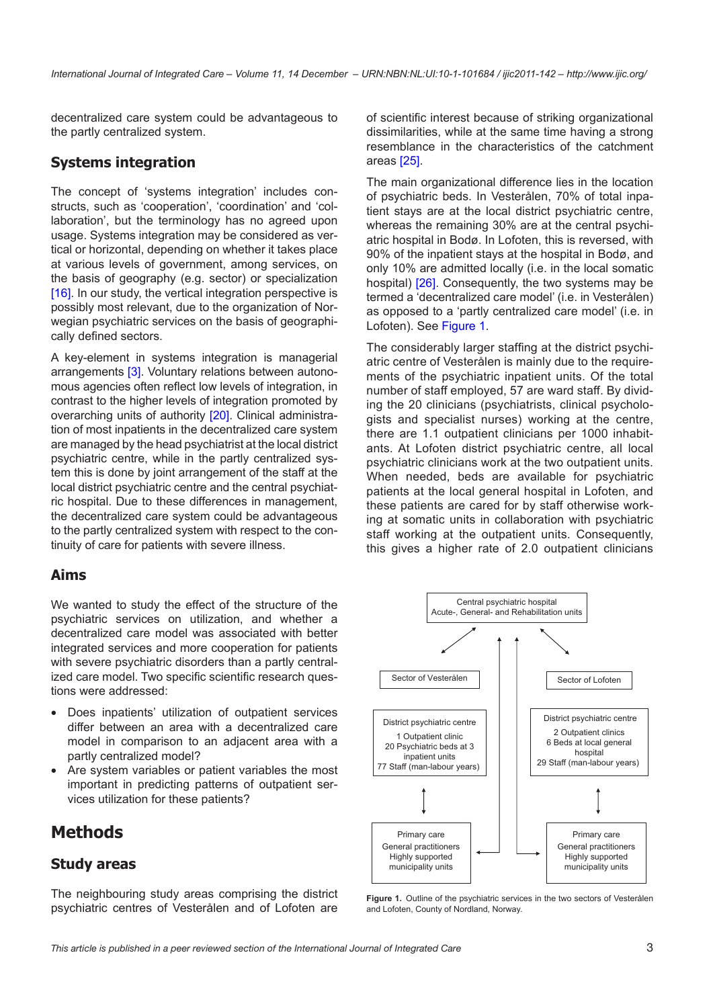decentralized care system could be advantageous to the partly centralized system.

#### **Systems integration**

The concept of 'systems integration' includes constructs, such as 'cooperation', 'coordination' and 'collaboration', but the terminology has no agreed upon usage. Systems integration may be considered as vertical or horizontal, depending on whether it takes place at various levels of government, among services, on the basis of geography (e.g. sector) or specialization [\[16\]](#page-7-0). In our study, the vertical integration perspective is possibly most relevant, due to the organization of Norwegian psychiatric services on the basis of geographically defined sectors.

A key-element in systems integration is managerial arrangements [\[3\].](#page-6-0) Voluntary relations between autonomous agencies often reflect low levels of integration, in contrast to the higher levels of integration promoted by overarching units of authority [\[20\].](#page-7-0) Clinical administration of most inpatients in the decentralized care system are managed by the head psychiatrist at the local district psychiatric centre, while in the partly centralized system this is done by joint arrangement of the staff at the local district psychiatric centre and the central psychiatric hospital. Due to these differences in management, the decentralized care system could be advantageous to the partly centralized system with respect to the continuity of care for patients with severe illness.

#### **Aims**

We wanted to study the effect of the structure of the psychiatric services on utilization, and whether a decentralized care model was associated with better integrated services and more cooperation for patients with severe psychiatric disorders than a partly centralized care model. Two specific scientific research questions were addressed:

- Does inpatients' utilization of outpatient services differ between an area with a decentralized care model in comparison to an adjacent area with a partly centralized model?
- Are system variables or patient variables the most important in predicting patterns of outpatient services utilization for these patients?

# **Methods**

#### **Study areas**

The neighbouring study areas comprising the district psychiatric centres of Vesterålen and of Lofoten are of scientific interest because of striking organizational dissimilarities, while at the same time having a strong resemblance in the characteristics of the catchment areas [\[25\].](#page-7-0)

The main organizational difference lies in the location of psychiatric beds. In Vesterålen, 70% of total inpatient stays are at the local district psychiatric centre, whereas the remaining 30% are at the central psychiatric hospital in Bodø. In Lofoten, this is reversed, with 90% of the inpatient stays at the hospital in Bodø, and only 10% are admitted locally (i.e. in the local somatic hospital) [\[26\].](#page-7-0) Consequently, the two systems may be termed a 'decentralized care model' (i.e. in Vesterålen) as opposed to a 'partly centralized care model' (i.e. in Lofoten). See [Figure 1.](#page-2-0)

The considerably larger staffing at the district psychiatric centre of Vesterålen is mainly due to the requirements of the psychiatric inpatient units. Of the total number of staff employed, 57 are ward staff. By dividing the 20 clinicians (psychiatrists, clinical psychologists and specialist nurses) working at the centre, there are 1.1 outpatient clinicians per 1000 inhabitants. At Lofoten district psychiatric centre, all local psychiatric clinicians work at the two outpatient units. When needed, beds are available for psychiatric patients at the local general hospital in Lofoten, and these patients are cared for by staff otherwise working at somatic units in collaboration with psychiatric staff working at the outpatient units. Consequently, this gives a higher rate of 2.0 outpatient clinicians



<span id="page-2-0"></span>**Figure 1.** Outline of the psychiatric services in the two sectors of Vesterålen and Lofoten, County of Nordland, Norway.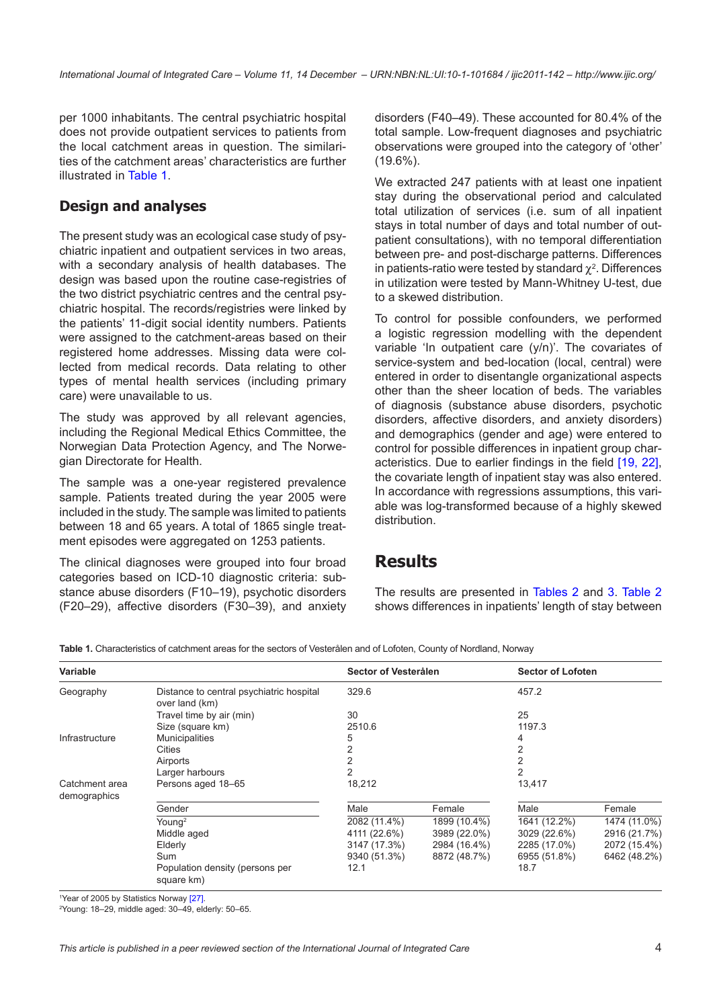per 1000 inhabitants. The central psychiatric hospital does not provide outpatient services to patients from the local catchment areas in question. The similarities of the catchment areas' characteristics are further illustrated in [Table 1.](#page-3-0)

#### **Design and analyses**

The present study was an ecological case study of psychiatric inpatient and outpatient services in two areas, with a secondary analysis of health databases. The design was based upon the routine case-registries of the two district psychiatric centres and the central psychiatric hospital. The records/registries were linked by the patients' 11-digit social identity numbers. Patients were assigned to the catchment-areas based on their registered home addresses. Missing data were collected from medical records. Data relating to other types of mental health services (including primary care) were unavailable to us.

The study was approved by all relevant agencies, including the Regional Medical Ethics Committee, the Norwegian Data Protection Agency, and The Norwegian Directorate for Health.

The sample was a one-year registered prevalence sample. Patients treated during the year 2005 were included in the study. The sample was limited to patients between 18 and 65 years. A total of 1865 single treatment episodes were aggregated on 1253 patients.

The clinical diagnoses were grouped into four broad categories based on ICD-10 diagnostic criteria: substance abuse disorders (F10–19), psychotic disorders (F20–29), affective disorders (F30–39), and anxiety

disorders (F40–49). These accounted for 80.4% of the total sample. Low-frequent diagnoses and psychiatric observations were grouped into the category of 'other' (19.6%).

We extracted 247 patients with at least one inpatient stay during the observational period and calculated total utilization of services (i.e. sum of all inpatient stays in total number of days and total number of outpatient consultations), with no temporal differentiation between pre- and post-discharge patterns. Differences in patients-ratio were tested by standard  $\chi^2$ . Differences in utilization were tested by Mann-Whitney U-test, due to a skewed distribution.

To control for possible confounders, we performed a logistic regression modelling with the dependent variable 'In outpatient care (y/n)'. The covariates of service-system and bed-location (local, central) were entered in order to disentangle organizational aspects other than the sheer location of beds. The variables of diagnosis (substance abuse disorders, psychotic disorders, affective disorders, and anxiety disorders) and demographics (gender and age) were entered to control for possible differences in inpatient group characteristics. Due to earlier findings in the field [\[19,](#page-7-0) [22\],](#page-7-0) the covariate length of inpatient stay was also entered. In accordance with regressions assumptions, this variable was log-transformed because of a highly skewed distribution.

## **Results**

The results are presented in [Tables 2](#page-4-0) and [3](#page-4-1). [Table 2](#page-4-0) shows differences in inpatients' length of stay between

<span id="page-3-0"></span>**Table 1.** Characteristics of catchment areas for the sectors of Vesterålen and of Lofoten, County of Nordland, Norway

| Variable                       |                                                            | Sector of Vesterålen |              | <b>Sector of Lofoten</b> |              |
|--------------------------------|------------------------------------------------------------|----------------------|--------------|--------------------------|--------------|
| Geography                      | Distance to central psychiatric hospital<br>over land (km) | 329.6                |              | 457.2                    |              |
|                                | Travel time by air (min)                                   | 30                   |              | 25                       |              |
|                                | Size (square km)                                           | 2510.6               |              | 1197.3                   |              |
| Infrastructure                 | <b>Municipalities</b>                                      | 5                    |              | 4                        |              |
|                                | Cities                                                     | 2                    |              |                          |              |
|                                | Airports                                                   | 2                    |              | 2                        |              |
|                                | Larger harbours                                            | 2                    |              | 2                        |              |
| Catchment area<br>demographics | Persons aged 18-65                                         | 18,212               |              | 13,417                   |              |
|                                | Gender                                                     | Male                 | Female       | Male                     | Female       |
|                                | Young <sup>2</sup>                                         | 2082 (11.4%)         | 1899 (10.4%) | 1641 (12.2%)             | 1474 (11.0%) |
|                                | Middle aged                                                | 4111 (22.6%)         | 3989 (22.0%) | 3029 (22.6%)             | 2916 (21.7%) |
|                                | Elderly                                                    | 3147 (17.3%)         | 2984 (16.4%) | 2285 (17.0%)             | 2072 (15.4%) |
|                                | Sum                                                        | 9340 (51.3%)         | 8872 (48.7%) | 6955 (51.8%)             | 6462 (48.2%) |
|                                | Population density (persons per<br>square km)              | 12.1                 |              | 18.7                     |              |

<sup>1</sup>Year of 2005 by Statistics Norway [\[27\].](#page-7-0)

2 Young: 18–29, middle aged: 30–49, elderly: 50–65.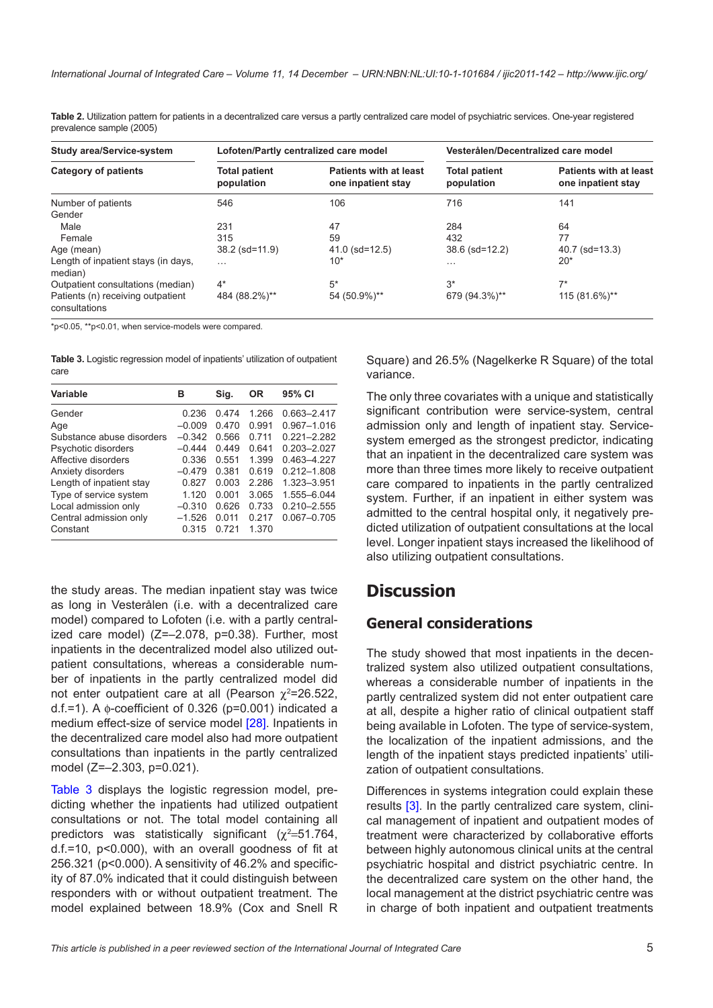<span id="page-4-0"></span>

| Table 2. Utilization pattern for patients in a decentralized care versus a partly centralized care model of psychiatric services. One-year registered |  |
|-------------------------------------------------------------------------------------------------------------------------------------------------------|--|
| prevalence sample (2005)                                                                                                                              |  |

| Study area/Service-system                          | Lofoten/Partly centralized care model |                                                     | Vesterålen/Decentralized care model |                                                     |  |
|----------------------------------------------------|---------------------------------------|-----------------------------------------------------|-------------------------------------|-----------------------------------------------------|--|
| <b>Category of patients</b>                        | <b>Total patient</b><br>population    | <b>Patients with at least</b><br>one inpatient stay | <b>Total patient</b><br>population  | <b>Patients with at least</b><br>one inpatient stay |  |
| Number of patients                                 | 546                                   | 106                                                 | 716                                 | 141                                                 |  |
| Gender                                             |                                       |                                                     |                                     |                                                     |  |
| Male                                               | 231                                   | 47                                                  | 284                                 | 64                                                  |  |
| Female                                             | 315                                   | 59                                                  | 432                                 | 77                                                  |  |
| Age (mean)                                         | 38.2 (sd=11.9)                        | $41.0$ (sd= $12.5$ )                                | 38.6 (sd=12.2)                      | $40.7$ (sd= $13.3$ )                                |  |
| Length of inpatient stays (in days,<br>median)     | $\cdots$                              | $10*$                                               | .                                   | $20*$                                               |  |
| Outpatient consultations (median)                  | $4^*$                                 | $5^*$                                               | $3^*$                               | $7*$                                                |  |
| Patients (n) receiving outpatient<br>consultations | 484 (88.2%)**                         | 54 (50.9%)**                                        | 679 (94.3%)**                       | 115 (81.6%)**                                       |  |

\*p<0.05, \*\*p<0.01, when service-models were compared.

<span id="page-4-1"></span>**Table 3.** Logistic regression model of inpatients' utilization of outpatient care

| Variable                  | в        | Sig.    | <b>OR</b> | 95% CI          |
|---------------------------|----------|---------|-----------|-----------------|
| Gender                    | 0.236    | 0474    | 1.266     | $0.663 - 2.417$ |
| Age                       | $-0.009$ | 0.470   | 0.991     | $0.967 - 1.016$ |
| Substance abuse disorders | $-0.342$ | 0.566   | 0 7 1 1   | $0.221 - 2.282$ |
| Psychotic disorders       | $-0.444$ | 0449    | 0.641     | $0.203 - 2.027$ |
| Affective disorders       | 0.336    | 0.551   | 1.399     | 0.463-4.227     |
| Anxiety disorders         | $-0.479$ | 0.381   | 0.619     | $0.212 - 1.808$ |
| Length of inpatient stay  | 0.827    | 0.003   | 2.286     | 1.323-3.951     |
| Type of service system    | 1 1 2 0  | 0.001   | 3.065     | 1.555-6.044     |
| Local admission only      | $-0.310$ | 0.626   | 0.733     | $0.210 - 2.555$ |
| Central admission only    | $-1.526$ | 0.011   | 0 217     | $0.067 - 0.705$ |
| Constant                  | 0.315    | 0 7 2 1 | 1.370     |                 |

the study areas. The median inpatient stay was twice as long in Vesterålen (i.e. with a decentralized care model) compared to Lofoten (i.e. with a partly centralized care model)  $(Z=-2.078, p=0.38)$ . Further, most inpatients in the decentralized model also utilized outpatient consultations, whereas a considerable number of inpatients in the partly centralized model did not enter outpatient care at all (Pearson  $\chi^2$ =26.522, d.f.=1). A  $\phi$ -coefficient of 0.326 (p=0.001) indicated a medium effect-size of service model [\[28\]](#page-7-0). Inpatients in the decentralized care model also had more outpatient consultations than inpatients in the partly centralized model (Z=–2.303, p=0.021).

[Table 3](#page-6-0) displays the logistic regression model, predicting whether the inpatients had utilized outpatient consultations or not. The total model containing all predictors was statistically significant ( $\chi^2$ =51.764,  $d.f.=10$ ,  $p<0.000$ ), with an overall goodness of fit at 256.321 (p<0.000). A sensitivity of 46.2% and specificity of 87.0% indicated that it could distinguish between responders with or without outpatient treatment. The model explained between 18.9% (Cox and Snell R

Square) and 26.5% (Nagelkerke R Square) of the total variance.

The only three covariates with a unique and statistically significant contribution were service-system, central admission only and length of inpatient stay. Servicesystem emerged as the strongest predictor, indicating that an inpatient in the decentralized care system was more than three times more likely to receive outpatient care compared to inpatients in the partly centralized system. Further, if an inpatient in either system was admitted to the central hospital only, it negatively predicted utilization of outpatient consultations at the local level. Longer inpatient stays increased the likelihood of also utilizing outpatient consultations.

## **Discussion**

### **General considerations**

The study showed that most inpatients in the decentralized system also utilized outpatient consultations, whereas a considerable number of inpatients in the partly centralized system did not enter outpatient care at all, despite a higher ratio of clinical outpatient staff being available in Lofoten. The type of service-system, the localization of the inpatient admissions, and the length of the inpatient stays predicted inpatients' utilization of outpatient consultations.

Differences in systems integration could explain these results [\[3\]](#page-6-0). In the partly centralized care system, clinical management of inpatient and outpatient modes of treatment were characterized by collaborative efforts between highly autonomous clinical units at the central psychiatric hospital and district psychiatric centre. In the decentralized care system on the other hand, the local management at the district psychiatric centre was in charge of both inpatient and outpatient treatments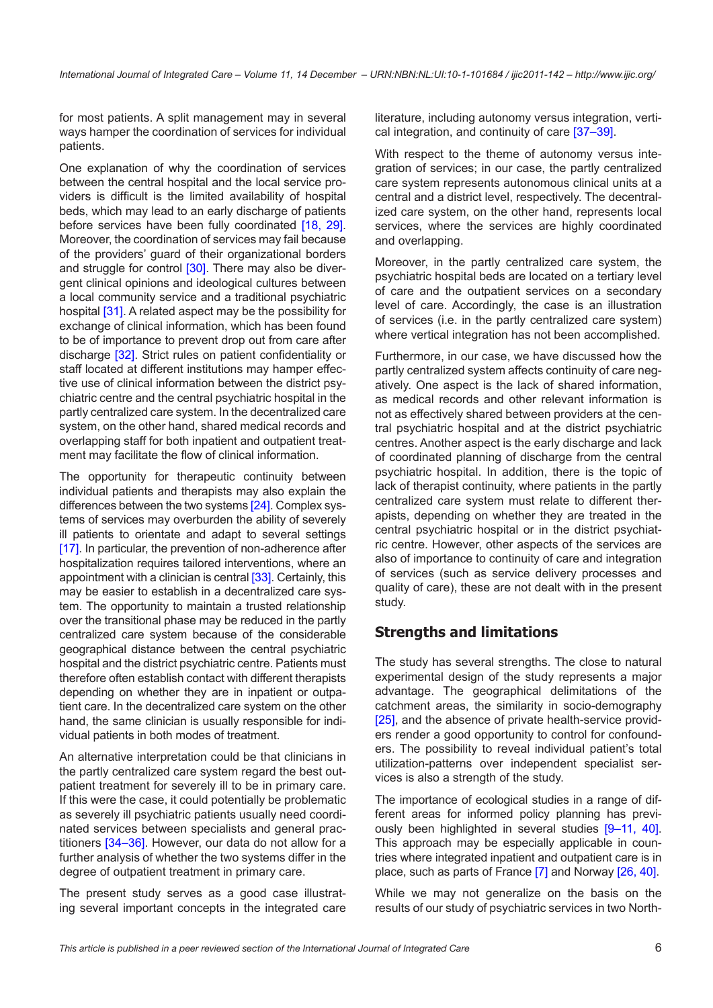for most patients. A split management may in several ways hamper the coordination of services for individual patients.

One explanation of why the coordination of services between the central hospital and the local service providers is difficult is the limited availability of hospital beds, which may lead to an early discharge of patients before services have been fully coordinated [\[18,](#page-7-0) [29\]](#page-7-0). Moreover, the coordination of services may fail because of the providers' guard of their organizational borders and struggle for control [\[30\].](#page-7-0) There may also be divergent clinical opinions and ideological cultures between a local community service and a traditional psychiatric hospital [\[31\].](#page-7-0) A related aspect may be the possibility for exchange of clinical information, which has been found to be of importance to prevent drop out from care after discharge [\[32\]](#page-7-0). Strict rules on patient confidentiality or staff located at different institutions may hamper effective use of clinical information between the district psychiatric centre and the central psychiatric hospital in the partly centralized care system. In the decentralized care system, on the other hand, shared medical records and overlapping staff for both inpatient and outpatient treatment may facilitate the flow of clinical information.

The opportunity for therapeutic continuity between individual patients and therapists may also explain the differences between the two systems [\[24\].](#page-7-0) Complex systems of services may overburden the ability of severely ill patients to orientate and adapt to several settings [\[17\].](#page-7-0) In particular, the prevention of non-adherence after hospitalization requires tailored interventions, where an appointment with a clinician is central [\[33\]](#page-8-0). Certainly, this may be easier to establish in a decentralized care system. The opportunity to maintain a trusted relationship over the transitional phase may be reduced in the partly centralized care system because of the considerable geographical distance between the central psychiatric hospital and the district psychiatric centre. Patients must therefore often establish contact with different therapists depending on whether they are in inpatient or outpatient care. In the decentralized care system on the other hand, the same clinician is usually responsible for individual patients in both modes of treatment.

An alternative interpretation could be that clinicians in the partly centralized care system regard the best outpatient treatment for severely ill to be in primary care. If this were the case, it could potentially be problematic as severely ill psychiatric patients usually need coordinated services between specialists and general practitioners [34-36]. However, our data do not allow for a further analysis of whether the two systems differ in the degree of outpatient treatment in primary care.

The present study serves as a good case illustrating several important concepts in the integrated care literature, including autonomy versus integration, vertical integration, and continuity of care [\[37–39\]](#page-8-0).

With respect to the theme of autonomy versus integration of services; in our case, the partly centralized care system represents autonomous clinical units at a central and a district level, respectively. The decentralized care system, on the other hand, represents local services, where the services are highly coordinated and overlapping.

Moreover, in the partly centralized care system, the psychiatric hospital beds are located on a tertiary level of care and the outpatient services on a secondary level of care. Accordingly, the case is an illustration of services (i.e. in the partly centralized care system) where vertical integration has not been accomplished.

Furthermore, in our case, we have discussed how the partly centralized system affects continuity of care negatively. One aspect is the lack of shared information, as medical records and other relevant information is not as effectively shared between providers at the central psychiatric hospital and at the district psychiatric centres. Another aspect is the early discharge and lack of coordinated planning of discharge from the central psychiatric hospital. In addition, there is the topic of lack of therapist continuity, where patients in the partly centralized care system must relate to different therapists, depending on whether they are treated in the central psychiatric hospital or in the district psychiatric centre. However, other aspects of the services are also of importance to continuity of care and integration of services (such as service delivery processes and quality of care), these are not dealt with in the present study.

## **Strengths and limitations**

The study has several strengths. The close to natural experimental design of the study represents a major advantage. The geographical delimitations of the catchment areas, the similarity in socio-demography [\[25\],](#page-7-0) and the absence of private health-service providers render a good opportunity to control for confounders. The possibility to reveal individual patient's total utilization-patterns over independent specialist services is also a strength of the study.

The importance of ecological studies in a range of different areas for informed policy planning has previously been highlighted in several studies [\[9–11,](#page-7-0) [40\].](#page-8-0) This approach may be especially applicable in countries where integrated inpatient and outpatient care is in place, such as parts of France [\[7\]](#page-7-0) and Norway [\[26,](#page-7-0) [40\].](#page-8-0)

While we may not generalize on the basis on the results of our study of psychiatric services in two North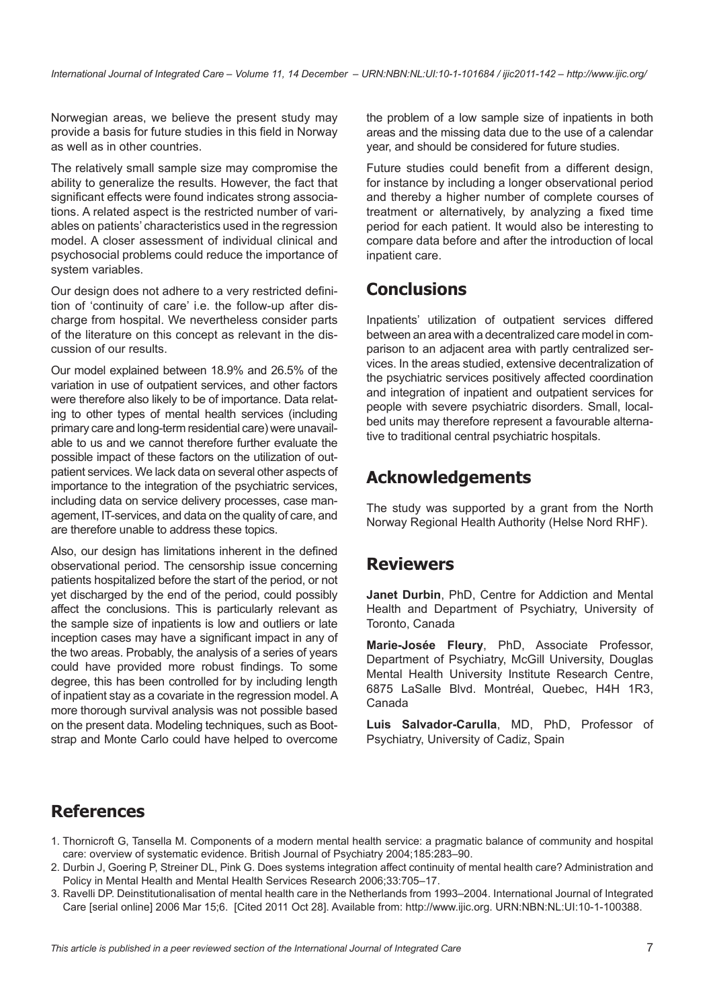<span id="page-6-0"></span>Norwegian areas, we believe the present study may provide a basis for future studies in this field in Norway as well as in other countries.

The relatively small sample size may compromise the ability to generalize the results. However, the fact that significant effects were found indicates strong associations. A related aspect is the restricted number of variables on patients' characteristics used in the regression model. A closer assessment of individual clinical and psychosocial problems could reduce the importance of system variables.

Our design does not adhere to a very restricted definition of 'continuity of care' i.e. the follow-up after discharge from hospital. We nevertheless consider parts of the literature on this concept as relevant in the discussion of our results.

Our model explained between 18.9% and 26.5% of the variation in use of outpatient services, and other factors were therefore also likely to be of importance. Data relating to other types of mental health services (including primary care and long-term residential care) were unavailable to us and we cannot therefore further evaluate the possible impact of these factors on the utilization of outpatient services. We lack data on several other aspects of importance to the integration of the psychiatric services, including data on service delivery processes, case management, IT-services, and data on the quality of care, and are therefore unable to address these topics.

Also, our design has limitations inherent in the defined observational period. The censorship issue concerning patients hospitalized before the start of the period, or not yet discharged by the end of the period, could possibly affect the conclusions. This is particularly relevant as the sample size of inpatients is low and outliers or late inception cases may have a significant impact in any of the two areas. Probably, the analysis of a series of years could have provided more robust findings. To some degree, this has been controlled for by including length of inpatient stay as a covariate in the regression model. A more thorough survival analysis was not possible based on the present data. Modeling techniques, such as Bootstrap and Monte Carlo could have helped to overcome the problem of a low sample size of inpatients in both areas and the missing data due to the use of a calendar year, and should be considered for future studies.

Future studies could benefit from a different design, for instance by including a longer observational period and thereby a higher number of complete courses of treatment or alternatively, by analyzing a fixed time period for each patient. It would also be interesting to compare data before and after the introduction of local inpatient care.

# **Conclusions**

Inpatients' utilization of outpatient services differed between an area with a decentralized care model in comparison to an adjacent area with partly centralized services. In the areas studied, extensive decentralization of the psychiatric services positively affected coordination and integration of inpatient and outpatient services for people with severe psychiatric disorders. Small, localbed units may therefore represent a favourable alternative to traditional central psychiatric hospitals.

# **Acknowledgements**

The study was supported by a grant from the North Norway Regional Health Authority (Helse Nord RHF).

## **Reviewers**

**Janet Durbin**, PhD, Centre for Addiction and Mental Health and Department of Psychiatry, University of Toronto, Canada

**Marie-Josée Fleury**, PhD, Associate Professor, Department of Psychiatry, McGill University, Douglas Mental Health University Institute Research Centre, 6875 LaSalle Blvd. Montréal, Quebec, H4H 1R3, Canada

**Luis Salvador-Carulla**, MD, PhD, Professor of Psychiatry, University of Cadiz, Spain

# **References**

- 1. Thornicroft G, Tansella M. Components of a modern mental health service: a pragmatic balance of community and hospital care: overview of systematic evidence. British Journal of Psychiatry 2004;185:283–90.
- 2. Durbin J, Goering P, Streiner DL, Pink G. Does systems integration affect continuity of mental health care? Administration and Policy in Mental Health and Mental Health Services Research 2006;33:705–17.
- 3. Ravelli DP. Deinstitutionalisation of mental health care in the Netherlands from 1993–2004. International Journal of Integrated Care [serial online] 2006 Mar 15;6. [Cited 2011 Oct 28]. Available from: [http://www.ijic.org.](http://www.ijic.org) [URN:NBN:NL:UI:10-1-100388.](http://persistent-identifier.nl/?identifier=URN:NBN:NL:UI:10-1-100388)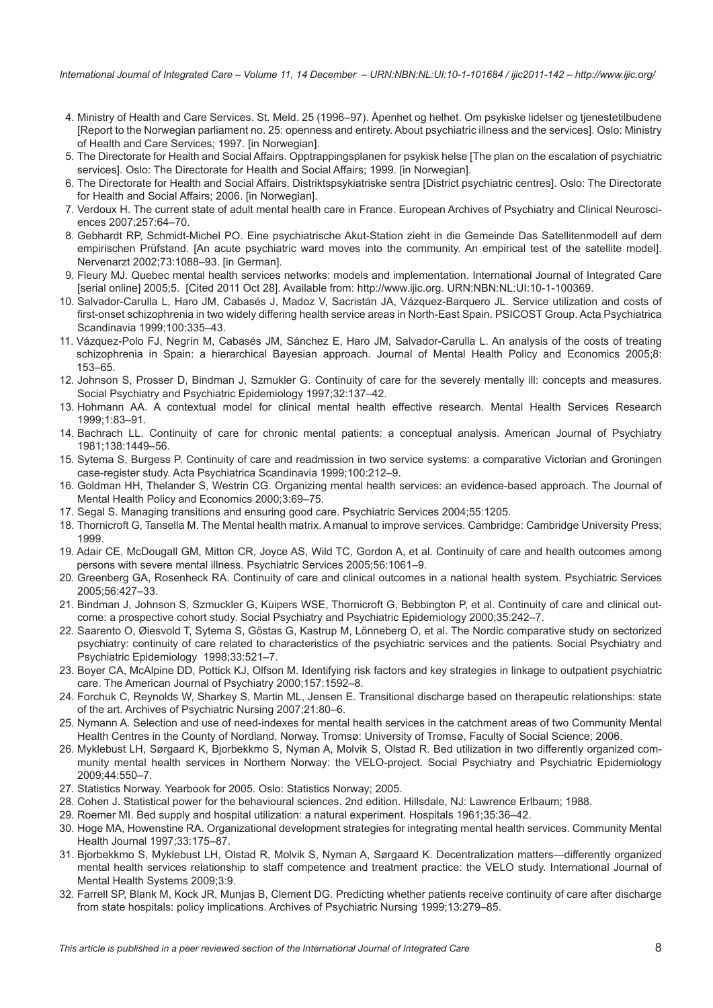- <span id="page-7-0"></span>4. Ministry of Health and Care Services. St. Meld. 25 (1996–97). Åpenhet og helhet. Om psykiske lidelser og tjenestetilbudene [Report to the Norwegian parliament no. 25: openness and entirety. About psychiatric illness and the services]. Oslo: Ministry of Health and Care Services; 1997. [in Norwegian].
- 5. The Directorate for Health and Social Affairs. Opptrappingsplanen for psykisk helse [The plan on the escalation of psychiatric services]. Oslo: The Directorate for Health and Social Affairs; 1999. [in Norwegian].
- 6. The Directorate for Health and Social Affairs. Distriktspsykiatriske sentra [District psychiatric centres]. Oslo: The Directorate for Health and Social Affairs; 2006. [in Norwegian].
- 7. Verdoux H. The current state of adult mental health care in France. European Archives of Psychiatry and Clinical Neurosciences 2007;257:64–70.
- 8. Gebhardt RP, Schmidt-Michel PO. Eine psychiatrische Akut-Station zieht in die Gemeinde Das Satellitenmodell auf dem empirischen Prüfstand. [An acute psychiatric ward moves into the community. An empirical test of the satellite model]. Nervenarzt 2002;73:1088–93. [in German].
- 9. Fleury MJ. Quebec mental health services networks: models and implementation. International Journal of Integrated Care [serial online] 2005;5. [Cited 2011 Oct 28]. Available from:<http://www.ijic.org>. [URN:NBN:NL:UI:10-1-100369](http://persistent-identifier.nl/?identifier=URN:NBN:NL:UI:10-1-100369).
- 10. Salvador-Carulla L, Haro JM, Cabasés J, Madoz V, Sacristán JA, Vázquez-Barquero JL. Service utilization and costs of first-onset schizophrenia in two widely differing health service areas in North-East Spain. PSICOST Group. Acta Psychiatrica Scandinavia 1999;100:335–43.
- 11. Vázquez-Polo FJ, Negrín M, Cabasés JM, Sánchez E, Haro JM, Salvador-Carulla L. An analysis of the costs of treating schizophrenia in Spain: a hierarchical Bayesian approach. Journal of Mental Health Policy and Economics 2005;8: 153–65.
- 12. Johnson S, Prosser D, Bindman J, Szmukler G. Continuity of care for the severely mentally ill: concepts and measures. Social Psychiatry and Psychiatric Epidemiology 1997;32:137–42.
- 13. Hohmann AA. A contextual model for clinical mental health effective research. Mental Health Services Research 1999;1:83–91.
- 14. Bachrach LL. Continuity of care for chronic mental patients: a conceptual analysis. American Journal of Psychiatry 1981;138:1449–56.
- 15. Sytema S, Burgess P. Continuity of care and readmission in two service systems: a comparative Victorian and Groningen case-register study. Acta Psychiatrica Scandinavia 1999;100:212–9.
- 16. Goldman HH, Thelander S, Westrin CG. Organizing mental health services: an evidence-based approach. The Journal of Mental Health Policy and Economics 2000;3:69–75.
- 17. Segal S. Managing transitions and ensuring good care. Psychiatric Services 2004;55:1205.
- 18. Thornicroft G, Tansella M. The Mental health matrix. A manual to improve services. Cambridge: Cambridge University Press; 1999.
- 19. Adair CE, McDougall GM, Mitton CR, Joyce AS, Wild TC, Gordon A, et al. Continuity of care and health outcomes among persons with severe mental illness. Psychiatric Services 2005;56:1061–9.
- 20. Greenberg GA, Rosenheck RA. Continuity of care and clinical outcomes in a national health system. Psychiatric Services 2005;56:427–33.
- 21. Bindman J, Johnson S, Szmuckler G, Kuipers WSE, Thornicroft G, Bebbington P, et al. Continuity of care and clinical outcome: a prospective cohort study. Social Psychiatry and Psychiatric Epidemiology 2000;35:242–7.
- 22. Saarento O, Øiesvold T, Sytema S, Göstas G, Kastrup M, Lönneberg O, et al. The Nordic comparative study on sectorized psychiatry: continuity of care related to characteristics of the psychiatric services and the patients. Social Psychiatry and Psychiatric Epidemiology 1998;33:521–7.
- 23. Boyer CA, McAlpine DD, Pottick KJ, Olfson M. Identifying risk factors and key strategies in linkage to outpatient psychiatric care. The American Journal of Psychiatry 2000;157:1592–8.
- 24. Forchuk C, Reynolds W, Sharkey S, Martin ML, Jensen E. Transitional discharge based on therapeutic relationships: state of the art. Archives of Psychiatric Nursing 2007;21:80–6.
- 25. Nymann A. Selection and use of need-indexes for mental health services in the catchment areas of two Community Mental Health Centres in the County of Nordland, Norway. Tromsø: University of Tromsø, Faculty of Social Science; 2006.
- 26. Myklebust LH, Sørgaard K, Bjorbekkmo S, Nyman A, Molvik S, Olstad R. Bed utilization in two differently organized community mental health services in Northern Norway: the VELO-project. Social Psychiatry and Psychiatric Epidemiology 2009;44:550–7.
- 27. Statistics Norway. Yearbook for 2005. Oslo: Statistics Norway; 2005.
- 28. Cohen J. Statistical power for the behavioural sciences. 2nd edition. Hillsdale, NJ: Lawrence Erlbaum; 1988.
- 29. Roemer MI. Bed supply and hospital utilization: a natural experiment. Hospitals 1961;35:36–42.
- 30. Hoge MA, Howenstine RA. Organizational development strategies for integrating mental health services. Community Mental Health Journal 1997;33:175–87.
- 31. Bjorbekkmo S, Myklebust LH, Olstad R, Molvik S, Nyman A, Sørgaard K. Decentralization matters—differently organized mental health services relationship to staff competence and treatment practice: the VELO study. International Journal of Mental Health Systems 2009;3:9.
- 32. Farrell SP, Blank M, Kock JR, Munjas B, Clement DG. Predicting whether patients receive continuity of care after discharge from state hospitals: policy implications. Archives of Psychiatric Nursing 1999;13:279–85.